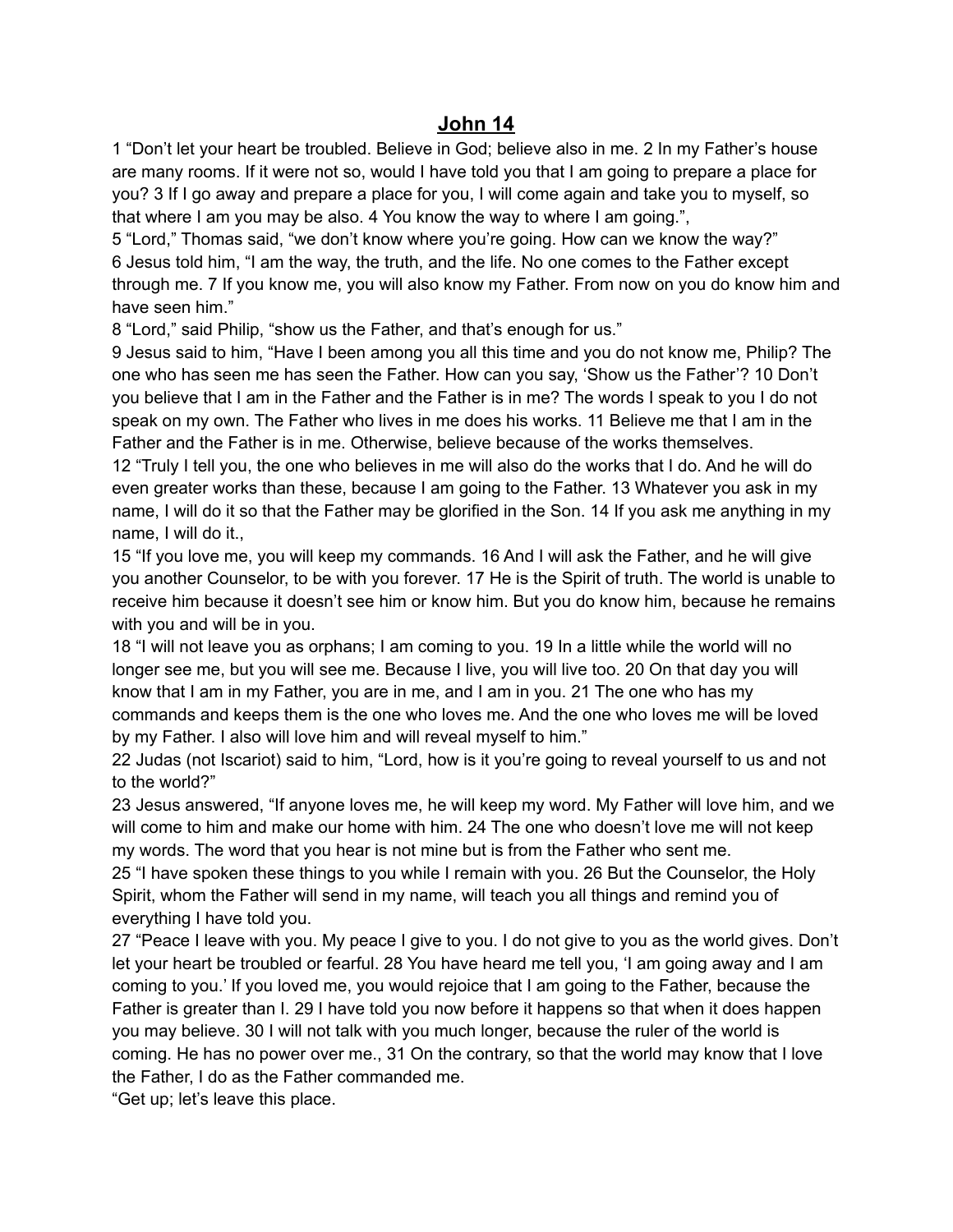## **John 14**

1 "Don't let your heart be troubled. Believe in God; believe also in me. 2 In my Father's house are many rooms. If it were not so, would I have told you that I am going to prepare a place for you? 3 If I go away and prepare a place for you, I will come again and take you to myself, so that where I am you may be also. 4 You know the way to where I am going.",

5 "Lord," Thomas said, "we don't know where you're going. How can we know the way?" 6 Jesus told him, "I am the way, the truth, and the life. No one comes to the Father except through me. 7 If you know me, you will also know my Father. From now on you do know him and have seen him."

8 "Lord," said Philip, "show us the Father, and that's enough for us."

9 Jesus said to him, "Have I been among you all this time and you do not know me, Philip? The one who has seen me has seen the Father. How can you say, 'Show us the Father'? 10 Don't you believe that I am in the Father and the Father is in me? The words I speak to you I do not speak on my own. The Father who lives in me does his works. 11 Believe me that I am in the Father and the Father is in me. Otherwise, believe because of the works themselves.

12 "Truly I tell you, the one who believes in me will also do the works that I do. And he will do even greater works than these, because I am going to the Father. 13 Whatever you ask in my name, I will do it so that the Father may be glorified in the Son. 14 If you ask me anything in my name, I will do it.,

15 "If you love me, you will keep my commands. 16 And I will ask the Father, and he will give you another Counselor, to be with you forever. 17 He is the Spirit of truth. The world is unable to receive him because it doesn't see him or know him. But you do know him, because he remains with you and will be in you.

18 "I will not leave you as orphans; I am coming to you. 19 In a little while the world will no longer see me, but you will see me. Because I live, you will live too. 20 On that day you will know that I am in my Father, you are in me, and I am in you. 21 The one who has my commands and keeps them is the one who loves me. And the one who loves me will be loved by my Father. I also will love him and will reveal myself to him."

22 Judas (not Iscariot) said to him, "Lord, how is it you're going to reveal yourself to us and not to the world?"

23 Jesus answered, "If anyone loves me, he will keep my word. My Father will love him, and we will come to him and make our home with him. 24 The one who doesn't love me will not keep my words. The word that you hear is not mine but is from the Father who sent me.

25 "I have spoken these things to you while I remain with you. 26 But the Counselor, the Holy Spirit, whom the Father will send in my name, will teach you all things and remind you of everything I have told you.

27 "Peace I leave with you. My peace I give to you. I do not give to you as the world gives. Don't let your heart be troubled or fearful. 28 You have heard me tell you, 'I am going away and I am coming to you.' If you loved me, you would rejoice that I am going to the Father, because the Father is greater than I. 29 I have told you now before it happens so that when it does happen you may believe. 30 I will not talk with you much longer, because the ruler of the world is coming. He has no power over me., 31 On the contrary, so that the world may know that I love the Father, I do as the Father commanded me.

"Get up; let's leave this place.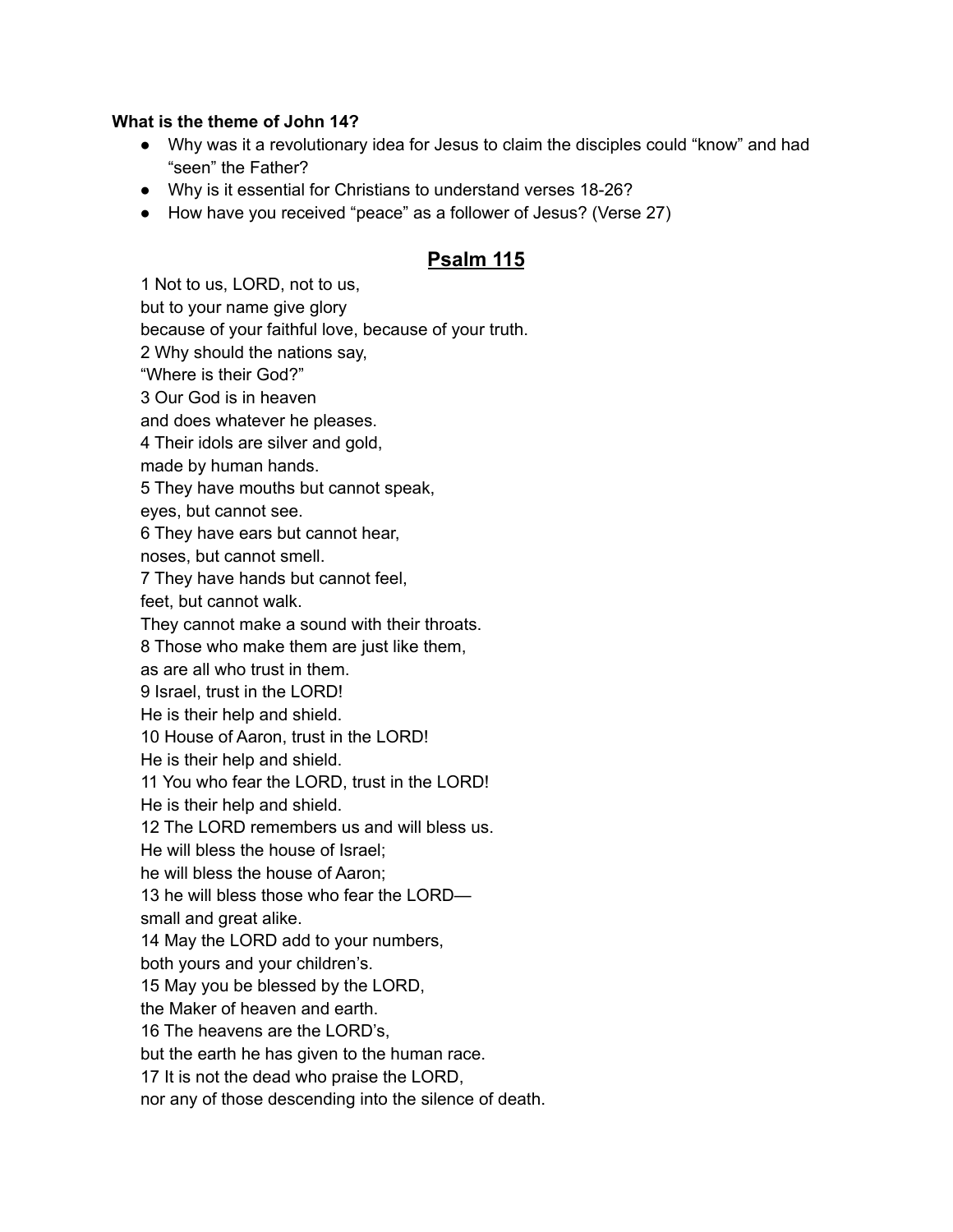## **What is the theme of John 14?**

- Why was it a revolutionary idea for Jesus to claim the disciples could "know" and had "seen" the Father?
- Why is it essential for Christians to understand verses 18-26?
- How have you received "peace" as a follower of Jesus? (Verse 27)

## **Psalm 115**

1 Not to us, LORD, not to us, but to your name give glory because of your faithful love, because of your truth. 2 Why should the nations say, "Where is their God?" 3 Our God is in heaven and does whatever he pleases. 4 Their idols are silver and gold, made by human hands. 5 They have mouths but cannot speak, eyes, but cannot see. 6 They have ears but cannot hear, noses, but cannot smell. 7 They have hands but cannot feel, feet, but cannot walk. They cannot make a sound with their throats. 8 Those who make them are just like them, as are all who trust in them. 9 Israel, trust in the LORD! He is their help and shield. 10 House of Aaron, trust in the LORD! He is their help and shield. 11 You who fear the LORD, trust in the LORD! He is their help and shield. 12 The LORD remembers us and will bless us. He will bless the house of Israel; he will bless the house of Aaron; 13 he will bless those who fear the LORD small and great alike. 14 May the LORD add to your numbers, both yours and your children's. 15 May you be blessed by the LORD, the Maker of heaven and earth. 16 The heavens are the LORD's, but the earth he has given to the human race. 17 It is not the dead who praise the LORD, nor any of those descending into the silence of death.